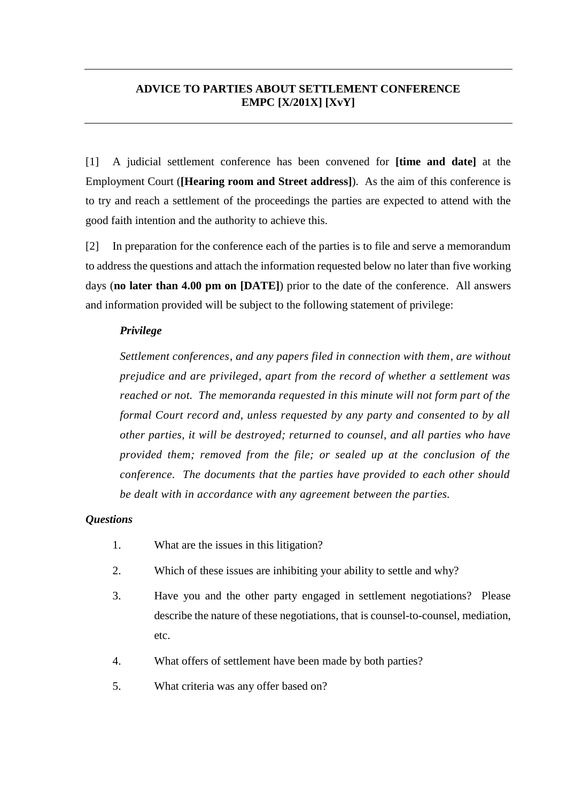## **ADVICE TO PARTIES ABOUT SETTLEMENT CONFERENCE EMPC [X/201X] [XvY]**

[1] A judicial settlement conference has been convened for **[time and date]** at the Employment Court (**[Hearing room and Street address]**). As the aim of this conference is to try and reach a settlement of the proceedings the parties are expected to attend with the good faith intention and the authority to achieve this.

[2] In preparation for the conference each of the parties is to file and serve a memorandum to address the questions and attach the information requested below no later than five working days (**no later than 4.00 pm on [DATE]**) prior to the date of the conference. All answers and information provided will be subject to the following statement of privilege:

### *Privilege*

*Settlement conferences, and any papers filed in connection with them, are without prejudice and are privileged, apart from the record of whether a settlement was reached or not. The memoranda requested in this minute will not form part of the formal Court record and, unless requested by any party and consented to by all other parties, it will be destroyed; returned to counsel, and all parties who have provided them; removed from the file; or sealed up at the conclusion of the conference. The documents that the parties have provided to each other should be dealt with in accordance with any agreement between the parties.* 

#### *Questions*

- 1. What are the issues in this litigation?
- 2. Which of these issues are inhibiting your ability to settle and why?
- 3. Have you and the other party engaged in settlement negotiations? Please describe the nature of these negotiations, that is counsel-to-counsel, mediation, etc.
- 4. What offers of settlement have been made by both parties?
- 5. What criteria was any offer based on?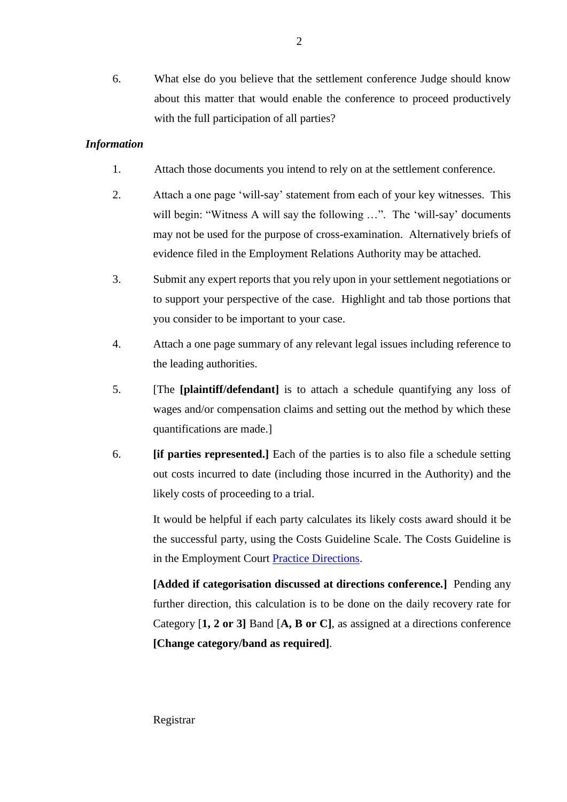6. What else do you believe that the settlement conference Judge should know about this matter that would enable the conference to proceed productively with the full participation of all parties?

## *Information*

- 1. Attach those documents you intend to rely on at the settlement conference.
- 2. Attach a one page 'will-say' statement from each of your key witnesses. This will begin: "Witness A will say the following ...". The 'will-say' documents may not be used for the purpose of cross-examination. Alternatively briefs of evidence filed in the Employment Relations Authority may be attached.
- 3. Submit any expert reports that you rely upon in your settlement negotiations or to support your perspective of the case. Highlight and tab those portions that you consider to be important to your case.
- 4. Attach a one page summary of any relevant legal issues including reference to the leading authorities.
- 5. [The **[plaintiff/defendant]** is to attach a schedule quantifying any loss of wages and/or compensation claims and setting out the method by which these quantifications are made.]
- 6. **[if parties represented.]** Each of the parties is to also file a schedule setting out costs incurred to date (including those incurred in the Authority) and the likely costs of proceeding to a trial.

It would be helpful if each party calculates its likely costs award should it be the successful party, using the Costs Guideline Scale. The Costs Guideline is in the Employment Court [Practice Directions.](https://www.employmentcourt.govt.nz/assets/Documents/Publications/EMPLOYMENT-COURT-PRACTICE-DIRECTIONS-as-published-on-EC-Website20181214.pdf)

**[Added if categorisation discussed at directions conference.]** Pending any further direction, this calculation is to be done on the daily recovery rate for Category [**1, 2 or 3]** Band [**A, B or C]**, as assigned at a directions conference **[Change category/band as required]**.